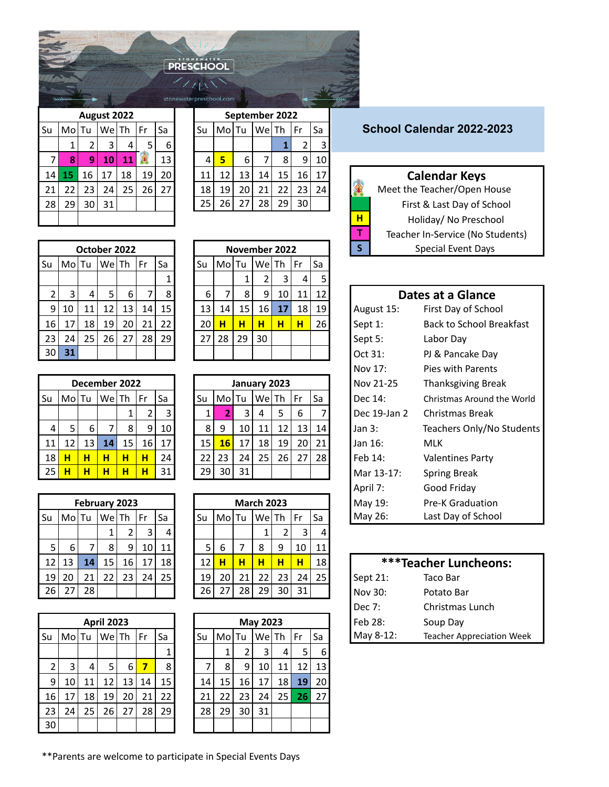| <b>PRESCHOOL</b> |  |  |
|------------------|--|--|
|                  |  |  |

stonewaterpreschool.com

|                             |   |                 |                 |    |       | September 2022 |       |    |    |    |         | August 2022 |                 |       |    |
|-----------------------------|---|-----------------|-----------------|----|-------|----------------|-------|----|----|----|---------|-------------|-----------------|-------|----|
| School Calendar 2022-2023   |   | Sa              | Fr              |    | WelTh |                | Mo Tu | Su | Sa | Fr | $We$ Th |             |                 | Mo Tu | Su |
|                             |   |                 |                 |    |       |                |       |    | 6  |    | 4       | 3           |                 |       |    |
|                             |   | 10 <sup>1</sup> | 9 <sub>1</sub>  | 8  |       | 6              |       |    | 13 |    | 11      | 10          | 9               | 8     |    |
| <b>Calendar Keys</b>        |   | 17              | 16 <sup>1</sup> | 15 | 14 I  | 13             | 12    | 11 | 20 | 19 | 18      | 17          | 16              | 15    | 14 |
| Meet the Teacher/Open House |   | 24              | 23              | 22 | 21    | 20             | 19    | 18 | 27 | 26 | 25      | 24          | 23              |       | 21 |
| First & Last Day of School  |   |                 | 30 <sub>l</sub> | 29 | 28    | 27             | ا 26  | 25 |    |    |         | 31          | 30 <sup>1</sup> | 29    | 28 |
| Holiday/ No Preschool       | н |                 |                 |    |       |                |       |    |    |    |         |             |                 |       |    |

|                |       |    | October 2022 |    |    |    |
|----------------|-------|----|--------------|----|----|----|
| Su             | MolTu |    | WeTh         |    | Fr | Sa |
|                |       |    |              |    |    | 1  |
| $\overline{2}$ | 3     | 4  | 5            | 6  |    | 8  |
| 9              | 10    | 11 | 12           | 13 | 14 | 15 |
| 16             | 17    | 18 | 19           | 20 | 21 | 22 |
| 23             | 24    | 25 | 26           | 27 | 28 | 29 |
| 30             | 31    |    |              |    |    |    |

|    |       |    | December 2022 |    |                |    |
|----|-------|----|---------------|----|----------------|----|
| Su | Mo Tu |    | WeTh          |    | Fr             | Sa |
|    |       |    |               | 1  | $\overline{2}$ | 3  |
| 4  | 5     | 6  | 7             | 8  | 9              | 10 |
| 11 | 12    | 13 | 14            | 15 | 16             | 17 |
| 18 | н     | н  | н             | н  | н              | 24 |
| 25 | н     |    | н             | н  |                | 31 |

|    |       |    |       | <b>February 2023</b> |    |    |
|----|-------|----|-------|----------------------|----|----|
| Su | Mo Tu |    | We Th |                      | Fr | Sa |
|    |       |    | 1     | $\overline{2}$       | 3  | 4  |
| 5  | 6     | 7  | 8     | ٩                    | 10 | 11 |
| 12 | 13    | 14 | 15    | 16                   | 17 | 18 |
| 19 | 20    | 21 | 22    | 23                   | 24 | 25 |
| 26 | 27    | 28 |       |                      |    |    |

|    |       |    | <b>April 2023</b> |    |    |    |    |       |    | May 20 |
|----|-------|----|-------------------|----|----|----|----|-------|----|--------|
| Su | Mo Tu |    | We Th             |    | Fr | Sa | Su | MolTu |    | We     |
|    |       |    |                   |    |    | 1  |    | 1     | 2  | 3      |
| 2  | 3     | 4  | 5                 | 6  | 7  | 8  | 7  | 8     | 9  | 10     |
| 9  | 10    | 11 | 12                | 13 | 14 | 15 | 14 | 15    | 16 | 17     |
| 16 | 17    | 18 | 19                | 20 | 21 | 22 | 21 | 22    | 23 | 24     |
| 23 | 24    | 25 | 26                | 27 | 28 | 29 | 28 | 29    | 30 | 31     |
| 30 |       |    |                   |    |    |    |    |       |    |        |

|   |    |    | August 2022 |    |    |    |    |     |    | September 2022 |    |    |    |
|---|----|----|-------------|----|----|----|----|-----|----|----------------|----|----|----|
|   | Mo | 1u | Wel         | Th | Fr | Sa | Su | Mol | Tu | We             | Th | Fr | Sa |
|   | 1  | 2  | 3           | 4  | 5  | 6  |    |     |    |                |    | 2  | 3  |
| 7 | 8  | 9  | 10          | 11 |    | 13 | 4  | 5   | 6  | 7              | 8  | 9  | 10 |
| 4 | 15 | 16 | 17          | 18 | 19 | 20 | 11 | 12  | 13 | 14             | 15 | 16 | 17 |
| 1 | 22 | 23 | 24          | 25 | 26 | 27 | 18 | 19  | 20 | 21             | 22 | 23 | 24 |
| 8 | 29 | 30 | 31          |    |    |    | 25 | 26  | 27 | 28             | 29 | 30 |    |

|                 |       |                 | October 2022 |    |    |    |    |       |    | November 2022 |                 |    |                 | $\mathsf{S}$ |            | <b>Special Event Days</b> |
|-----------------|-------|-----------------|--------------|----|----|----|----|-------|----|---------------|-----------------|----|-----------------|--------------|------------|---------------------------|
| Su              | Mo Tu |                 | WelTh        |    | Fr | Sa | Su | MolTu |    | WelTh         |                 | Fr | Sa              |              |            |                           |
|                 |       |                 |              |    |    |    |    |       |    |               | 3               | 4  |                 |              |            |                           |
|                 |       | 4               |              | 6  |    | 8  | 6  |       | 8  | 9             | 10 <sup>1</sup> | 11 | 12 <sub>1</sub> |              |            | Dates at a Glance         |
| 9 <sub>l</sub>  | 10    | 11 <sub>1</sub> | 12           | 13 | 14 | 15 | 13 | 14    | 15 | 16            | 17              | 18 | 19 <sub>l</sub> |              | August 15: | First Day of Schoo        |
| 16              | 17    | 18              | 19           | 20 | 21 | 22 | 20 | н     | н  | н             | н               | н  | <b>26</b>       | Sept 1:      |            | Back to School Br         |
| 23              | 24    | 25              | 26           | 27 | 28 | 29 | 27 | 28    | 29 | 30            |                 |    |                 | Sept 5:      |            | Labor Day                 |
| 30 <sup>1</sup> | 31    |                 |              |    |    |    |    |       |    |               |                 |    |                 | Oct 31:      |            | PJ & Pancake Day          |

|    |       | December 2022 |       |    |    |                 |                 |     |    | January 2023 |    |    |           | Nov 21-25    | Thanksgiving         |
|----|-------|---------------|-------|----|----|-----------------|-----------------|-----|----|--------------|----|----|-----------|--------------|----------------------|
| ы  | MolTu |               | WelTh |    | Fr | Sa              | Su              | Mol | Tu | We Th        |    | Fr | l Sa      | Dec 14:      | Christmas Arou       |
|    |       |               |       |    |    | 3               |                 |     | 3  | 4            | 5  | 6  |           | Dec 19-Jan 2 | <b>Christmas Bre</b> |
|    | 5     | 6             |       | 8  | -9 | 10 <sup>1</sup> | 8I              | q   | 10 |              | 12 | 13 | 14        | Jan $3:$     | Teachers Only        |
| 11 |       | 13            | 14    | 15 | 16 | 17              | 15              | 16  | 17 | 18           | 19 | 20 | 21        | Jan 16:      | <b>MLK</b>           |
| 18 | н     | н             | н     | н  | н  | 24              | 22 <sup>1</sup> | 23  | 24 | 25           | 26 | 27 | <b>28</b> | Feb 14:      | <b>Valentines Pa</b> |
| 25 | н     | н             | н     | н  | н  | 31              | 29              | 30  | 31 |              |    |    |           | Mar 13-17:   | <b>Spring Break</b>  |
|    |       |               |       |    |    |                 |                 |     |    |              |    |    |           |              |                      |

|                 |       | February 2023 |     |     |    |    |    |       |    | <b>March 2023</b> |    |                 |    | May 19:  | <b>Pre-K Graduation</b>    |
|-----------------|-------|---------------|-----|-----|----|----|----|-------|----|-------------------|----|-----------------|----|----------|----------------------------|
| Su              | MolTu |               | Wel | 'Th | Fr | Sa | Su | MolTu |    | WelTh             |    | Fr              | Sa | May 26:  | Last Day of School         |
|                 |       |               |     |     | 3  | 4  |    |       |    |                   |    | 3               | 4  |          |                            |
|                 | 6     |               | 8   | 9   | 10 | 11 |    | 6     |    | 8                 | 9  | 10              | 11 |          |                            |
| 12 <sup>1</sup> | 13    | 14            | 15  | 16  | 17 | 18 | 12 | н     | н  | н                 | н  | н               | 18 |          | <b>***Teacher Luncheon</b> |
| 19              | 20    | 21            | 22  | 23  | 24 | 25 | 19 | 20    | 21 | 22                | 23 | 24 <sub>1</sub> | 25 | Sept 21: | Taco Bar                   |
| 26              | 27    | 28            |     |     |    |    | 26 |       | 28 | 29                | 30 | 31              |    | Nov 30:  | Potato Bar                 |
|                 |       |               |     |     |    |    |    |       |    |                   |    |                 |    |          |                            |

|    |       |    |                   |                 |    |                 |    |                 |      |          |    |    |    | ----      | <u>uu uu uu uu </u> |
|----|-------|----|-------------------|-----------------|----|-----------------|----|-----------------|------|----------|----|----|----|-----------|---------------------|
|    |       |    | <b>April 2023</b> |                 |    |                 |    |                 |      | May 2023 |    |    |    | Feb 28:   | Soup Day            |
| ы  | Mo Tu |    | $We$ Th           |                 | Fr | <b>Sa</b>       | Su | MolTu           |      | We Th    |    | Fr | Sa | May 8-12: | Teacher Ap          |
|    |       |    |                   |                 |    |                 |    | 1<br>┻          |      | 3        | 4  | 5  | 6  |           |                     |
| 2  | 3     | 4  | 5.                | 6               | 7  | 8               |    | 8               | 9    | 10       | 11 | 12 | 13 |           |                     |
| 9  | 10    | 11 | 12                | 13 <sup>1</sup> | 14 | 15 <sub>l</sub> | 14 | 15 <sup>1</sup> | 16 l | 17       | 18 | 19 | 20 |           |                     |
| 16 | 17    | 18 | 19                | 20              | 21 | 221             | 21 | 22              | 23 I | 24       | 25 | 26 | 27 |           |                     |
| 23 | 24    | 25 | <b>26</b>         | 27              | 28 | 29              | 28 | 29              | 30   | 31       |    |    |    |           |                     |
| 30 |       |    |                   |                 |    |                 |    |                 |      |          |    |    |    |           |                     |

## School Calendar 2022-2023

## $\overline{\text{Calendar} }$  Keys

|    |         | October 2022 |                 |    |         |    |      | November 2022 |    |          |                 |  |  |                                  | <b>Special Event Days</b>   |
|----|---------|--------------|-----------------|----|---------|----|------|---------------|----|----------|-----------------|--|--|----------------------------------|-----------------------------|
|    |         |              |                 |    |         |    |      |               |    |          |                 |  |  | Teacher In-Service (No Students) |                             |
|    |         |              |                 |    |         |    |      |               |    |          |                 |  |  | н                                | Holiday/ No Preschool       |
| 28 |         |              | 31 <sub>1</sub> |    |         | 25 | 26   |               | 28 | 29       | 30 <sub>1</sub> |  |  |                                  | First & Last Day of School  |
|    | 21   22 | ່າາ ≀        | <b>24</b>       | 25 | 26   27 | 18 | 19 I | <b>201</b>    | 21 | 22 23 24 |                 |  |  |                                  | Meet the Teacher/Open House |

|                 | 3.    | 4             | 5        | b               |      | 8     |  | ь                 |                    | 8  | 9     | ΊU | 11 | 12        |              | Dates at a Giance               |
|-----------------|-------|---------------|----------|-----------------|------|-------|--|-------------------|--------------------|----|-------|----|----|-----------|--------------|---------------------------------|
| 9               | 10    | 11            | 12       | 13              | 14   | 15    |  | 13                | 14                 | 15 | 16    | 17 | 18 | 19        | August 15:   | First Day of School             |
| 16 <sup>1</sup> | 17    | 18            | 19       | 20 <sub>1</sub> | 21   | 22    |  | 20                | н                  | н  | н     | н  | н  | 26        | Sept 1:      | <b>Back to School Breakfast</b> |
| 23              | 24    | 25            | 26       | 27              | 28   | 29    |  | 27                | 28                 | 29 | 30    |    |    |           | Sept 5:      | Labor Day                       |
| 30              | 31    |               |          |                 |      |       |  |                   |                    |    |       |    |    |           | Oct 31:      | PJ & Pancake Day                |
|                 |       |               |          |                 |      |       |  |                   |                    |    |       |    |    |           | Nov 17:      | Pies with Parents               |
|                 |       | December 2022 |          |                 |      |       |  | January 2023      |                    |    |       |    |    |           | Nov 21-25    | Thanksgiving Break              |
| Su              | Mo Tu |               | We Th    |                 | l Fr | Sa    |  | Su                | Mo Tu              |    | We Th |    | Fr | Sa        | Dec 14:      | Christmas Around the World      |
|                 |       |               |          |                 | 2    | 3     |  |                   | 2                  | 3  | 4     | 5  | 6  |           | Dec 19-Jan 2 | Christmas Break                 |
| 4               | 5     | 6             | 7        | 8               | 9    | 10    |  | 8                 | 9                  | 10 | 11    | 12 | 13 | 14        | Jan 3:       | Teachers Only/No Students       |
| 11              | 12    | 13            | 14       | 15              | 16   | 17    |  | 15                | 16                 | 17 | 18    | 19 | 20 | 21        | Jan 16:      | <b>MLK</b>                      |
| 18              | н     | н             | н        | н               | н    | 24    |  | 22                | 23                 | 24 | 25    | 26 | 27 | 28        | Feb 14:      | <b>Valentines Party</b>         |
| 25              | н     | н             | н        | н               | н    | 31    |  | 29                | 30                 | 31 |       |    |    |           | Mar 13-17:   | <b>Spring Break</b>             |
|                 |       |               |          |                 |      |       |  |                   |                    |    |       |    |    | April 7:  | Good Friday  |                                 |
|                 |       | February 2023 |          |                 |      |       |  | <b>March 2023</b> |                    |    |       |    |    |           | May 19:      | <b>Pre-K Graduation</b>         |
|                 |       | Su I MolTu I  | WelTh Fr |                 |      | l Sal |  |                   | Su MolTu WelTh IFr |    |       |    |    | <b>Sa</b> | May 26:      | Last Day of School              |

| 12 <sub>1</sub> | 13    | 14 | 15                | 16 <sup>1</sup> | 17 <sup>1</sup> | - 18 I          |  | 12              | н   | н  |       | н      | н               | 18 l      | <b>***Teacher Luncheons:</b> |                                  |
|-----------------|-------|----|-------------------|-----------------|-----------------|-----------------|--|-----------------|-----|----|-------|--------|-----------------|-----------|------------------------------|----------------------------------|
| 19 <sup>1</sup> | 20    |    | 22                | 23              | 24 I            | 25 <sub>l</sub> |  | 19              | 20  | 21 | 22    | 23 I   | 24              | $25 \mid$ | Sept 21:                     | Taco Bar                         |
| <b>26</b>       | 27    | 28 |                   |                 |                 |                 |  | 26              |     | 28 | 29    | 30 I   | 31              |           | Nov 30:                      | Potato Bar                       |
|                 |       |    |                   |                 |                 |                 |  |                 |     |    |       | Dec 7: | Christmas Lunch |           |                              |                                  |
|                 |       |    | <b>April 2023</b> |                 |                 |                 |  | <b>May 2023</b> |     |    |       |        |                 |           | Feb 28:                      | Soup Day                         |
| Su              | MolTu |    | WelTh             |                 | l Fr            | Sa              |  | Su              | Mol | Tu | We Th |        | Fr              | Sa        | May 8-12:                    | <b>Teacher Appreciation Week</b> |

\*\*Parents are welcome to participate in Special Events Days